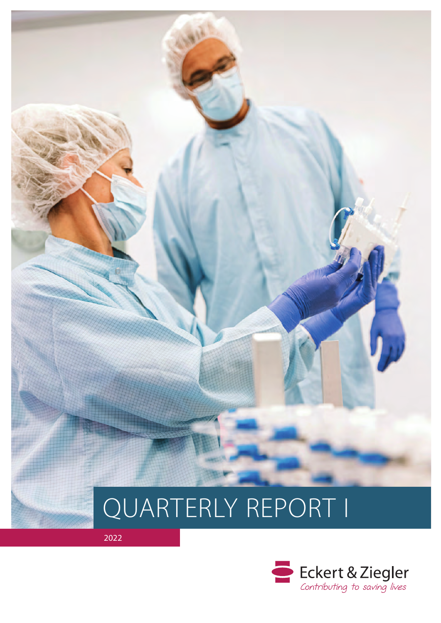

# QUARTERLY REPORT I

2022

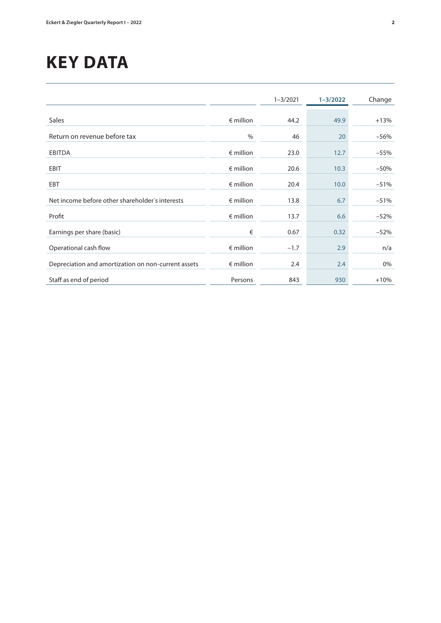# **KEY DATA**

|                                                     |                    | $1 - 3/2021$ | $1 - 3/2022$ | Change |
|-----------------------------------------------------|--------------------|--------------|--------------|--------|
|                                                     |                    |              |              |        |
| Sales                                               | $\epsilon$ million | 44.2         | 49.9         | $+13%$ |
| Return on revenue before tax                        | $\frac{0}{0}$      | 46           | 20           | $-56%$ |
| <b>EBITDA</b>                                       | $\epsilon$ million | 23.0         | 12.7         | $-55%$ |
| EBIT                                                | $\epsilon$ million | 20.6         | 10.3         | $-50%$ |
| <b>EBT</b>                                          | $\epsilon$ million | 20.4         | 10.0         | $-51%$ |
| Net income before other shareholder's interests     | $\epsilon$ million | 13.8         | 6.7          | $-51%$ |
| Profit                                              | $\epsilon$ million | 13.7         | 6.6          | $-52%$ |
| Earnings per share (basic)                          | €                  | 0.67         | 0.32         | $-52%$ |
| Operational cash flow                               | $\epsilon$ million | $-1.7$       | 2.9          | n/a    |
| Depreciation and amortization on non-current assets | $\epsilon$ million | 2.4          | 2.4          | 0%     |
| Staff as end of period                              | Persons            | 843          | 930          | $+10%$ |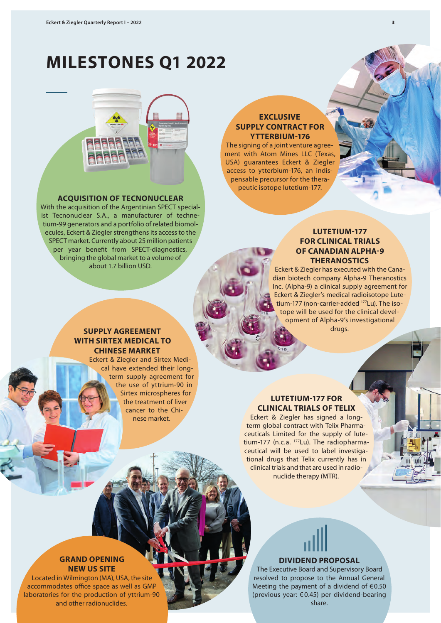# **MILESTONES Q1 2022**



## **ACQUISITION OF TECNONUCLEAR**

With the acquisition of the Argentinian SPECT specialist Tecnonuclear S.A., a manufacturer of technetium-99 generators and a portfolio of related biomolecules, Eckert & Ziegler strengthens its access to the SPECT market. Currently about 25 million patients per year benefit from SPECT-diagnostics, bringing the global market to a volume of about 1.7 billion USD.

# **EXCLUSIVE SUPPLY CONTRACT FOR YTTERBIUM-176**

The signing of a joint venture agreement with Atom Mines LLC (Texas, USA) guarantees Eckert & Ziegler access to ytterbium-176, an indispensable precursor for the therapeutic isotope lutetium-177.

# **LUTETIUM-177 FOR CLINICAL TRIALS OF CANADIAN ALPHA-9 THERANOSTICS**

Eckert & Ziegler has executed with the Canadian biotech company Alpha-9 Theranostics Inc. (Alpha-9) a clinical supply agreement for Eckert & Ziegler's medical radioisotope Lutetium-177 (non-carrier-added 177Lu). The isotope will be used for the clinical development of Alpha-9's investigational drugs.

# **SUPPLY AGREEMENT WITH SIRTEX MEDICAL TO CHINESE MARKET**

Eckert & Ziegler and Sirtex Medical have extended their longterm supply agreement for the use of yttrium-90 in Sirtex microspheres for the treatment of liver cancer to the Chinese market.

# **LUTETIUM-177 FOR CLINICAL TRIALS OF TELIX**

Eckert & Ziegler has signed a longterm global contract with Telix Pharmaceuticals Limited for the supply of lutetium-177 (n.c.a. 177Lu). The radiopharmaceutical will be used to label investigational drugs that Telix currently has in clinical trials and that are used in radionuclide therapy (MTR).

# **GRAND OPENING NEW US SITE**

Located in Wilmington (MA), USA, the site accommodates office space as well as GMP laboratories for the production of yttrium-90 and other radionuclides.

# **DIVIDEND PROPOSAL**

The Executive Board and Supervisory Board resolved to propose to the Annual General Meeting the payment of a dividend of  $€0.50$ (previous year: € 0.45) per dividend-bearing share.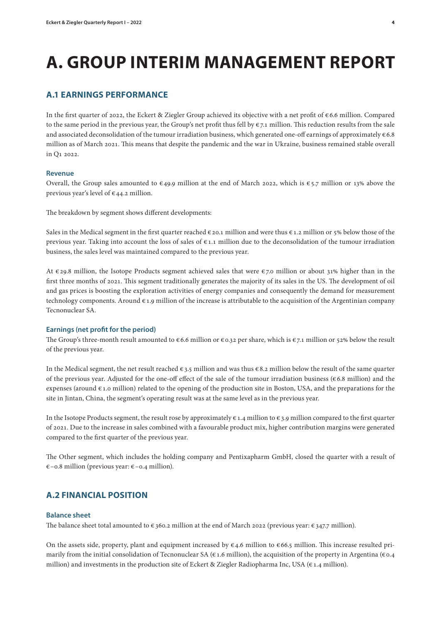# **A. GROUP INTERIM MANAGEMENT REPORT**

# **A.1 EARNINGS PERFORMANCE**

In the first quarter of 2022, the Eckert & Ziegler Group achieved its objective with a net profit of € 6.6 million. Compared to the same period in the previous year, the Group's net profit thus fell by  $\epsilon_{7.1}$  million. This reduction results from the sale and associated deconsolidation of the tumour irradiation business, which generated one-off earnings of approximately  $\epsilon$  6.8 million as of March 2021. This means that despite the pandemic and the war in Ukraine, business remained stable overall in Q1 2022.

## **Revenue**

Overall, the Group sales amounted to  $\epsilon$ 49.9 million at the end of March 2022, which is  $\epsilon$ 5.7 million or 13% above the previous year's level of  $\epsilon$ 44.2 million.

The breakdown by segment shows different developments:

Sales in the Medical segment in the first quarter reached  $\epsilon$  20.1 million and were thus  $\epsilon$  1.2 million or 5% below those of the previous year. Taking into account the loss of sales of  $\epsilon$ 1.1 million due to the deconsolidation of the tumour irradiation business, the sales level was maintained compared to the previous year.

At  $\epsilon$  29.8 million, the Isotope Products segment achieved sales that were  $\epsilon$  7.0 million or about 31% higher than in the first three months of 2021. This segment traditionally generates the majority of its sales in the US. The development of oil and gas prices is boosting the exploration activities of energy companies and consequently the demand for measurement technology components. Around  $\epsilon$  1.9 million of the increase is attributable to the acquisition of the Argentinian company Tecnonuclear SA.

#### **Earnings (net profit for the period)**

The Group's three-month result amounted to  $\epsilon$  6.6 million or  $\epsilon$  0.32 per share, which is  $\epsilon$  7.1 million or 52% below the result of the previous year.

In the Medical segment, the net result reached  $\epsilon$  3.5 million and was thus  $\epsilon$  8.2 million below the result of the same quarter of the previous year. Adjusted for the one-off effect of the sale of the tumour irradiation business (€ 6.8 million) and the expenses (around  $\epsilon$  1.0 million) related to the opening of the production site in Boston, USA, and the preparations for the site in Jintan, China, the segment's operating result was at the same level as in the previous year.

In the Isotope Products segment, the result rose by approximately  $\epsilon$  1.4 million to  $\epsilon$  3.9 million compared to the first quarter of 2021. Due to the increase in sales combined with a favourable product mix, higher contribution margins were generated compared to the first quarter of the previous year.

The Other segment, which includes the holding company and Pentixapharm GmbH, closed the quarter with a result of €–0.8 million (previous year: €–0.4 million).

# **A.2 FINANCIAL POSITION**

### **Balance sheet**

The balance sheet total amounted to  $\epsilon$  360.2 million at the end of March 2022 (previous year:  $\epsilon$  347.7 million).

On the assets side, property, plant and equipment increased by  $\epsilon$ 4.6 million to  $\epsilon$ 66.5 million. This increase resulted primarily from the initial consolidation of Tecnonuclear SA ( $\epsilon$  1.6 million), the acquisition of the property in Argentina ( $\epsilon$ 0.4 million) and investments in the production site of Eckert & Ziegler Radiopharma Inc, USA ( $\epsilon$ 1.4 million).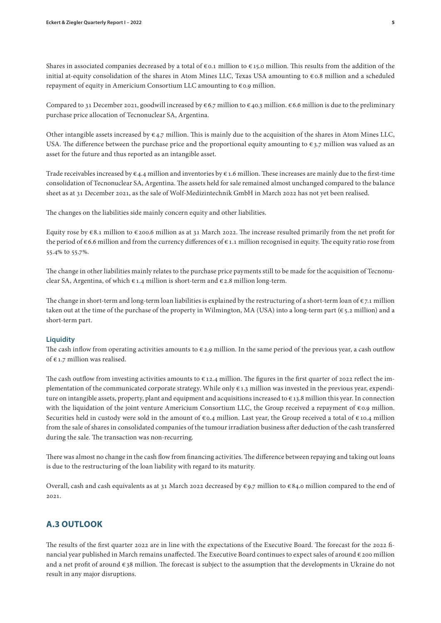Shares in associated companies decreased by a total of  $\epsilon$  0.1 million to  $\epsilon$  15.0 million. This results from the addition of the initial at-equity consolidation of the shares in Atom Mines LLC, Texas USA amounting to € 0.8 million and a scheduled repayment of equity in Americium Consortium LLC amounting to € 0.9 million.

Compared to 31 December 2021, goodwill increased by  $\epsilon$  6.7 million to  $\epsilon$  40.3 million.  $\epsilon$  6.6 million is due to the preliminary purchase price allocation of Tecnonuclear SA, Argentina.

Other intangible assets increased by  $\epsilon_{4.7}$  million. This is mainly due to the acquisition of the shares in Atom Mines LLC, USA. The difference between the purchase price and the proportional equity amounting to  $\epsilon_{3.7}$  million was valued as an asset for the future and thus reported as an intangible asset.

Trade receivables increased by  $\epsilon$  4.4 million and inventories by  $\epsilon$  1.6 million. These increases are mainly due to the first-time consolidation of Tecnonuclear SA, Argentina. The assets held for sale remained almost unchanged compared to the balance sheet as at 31 December 2021, as the sale of Wolf-Medizintechnik GmbH in March 2022 has not yet been realised.

The changes on the liabilities side mainly concern equity and other liabilities.

Equity rose by  $\epsilon$  8.1 million to  $\epsilon$  200.6 million as at 31 March 2022. The increase resulted primarily from the net profit for the period of € 6.6 million and from the currency differences of € 1.1 million recognised in equity. The equity ratio rose from 55.4% to 55.7%.

The change in other liabilities mainly relates to the purchase price payments still to be made for the acquisition of Tecnonuclear SA, Argentina, of which  $\epsilon$  1.4 million is short-term and  $\epsilon$  2.8 million long-term.

The change in short-term and long-term loan liabilities is explained by the restructuring of a short-term loan of  $\epsilon$ 7.1 million taken out at the time of the purchase of the property in Wilmington, MA (USA) into a long-term part (€ 5.2 million) and a short-term part.

#### **Liquidity**

The cash inflow from operating activities amounts to  $\epsilon$  2.9 million. In the same period of the previous year, a cash outflow of € 1.7 million was realised.

The cash outflow from investing activities amounts to  $\epsilon$  12.4 million. The figures in the first quarter of 2022 reflect the implementation of the communicated corporate strategy. While only  $\epsilon$  1.3 million was invested in the previous year, expenditure on intangible assets, property, plant and equipment and acquisitions increased to  $\epsilon_{13}$ .8 million this year. In connection with the liquidation of the joint venture Americium Consortium LLC, the Group received a repayment of €0.9 million. Securities held in custody were sold in the amount of  $\epsilon$  0.4 million. Last year, the Group received a total of  $\epsilon$  10.4 million from the sale of shares in consolidated companies of the tumour irradiation business after deduction of the cash transferred during the sale. The transaction was non-recurring.

There was almost no change in the cash flow from financing activities. The difference between repaying and taking out loans is due to the restructuring of the loan liability with regard to its maturity.

Overall, cash and cash equivalents as at 31 March 2022 decreased by  $\epsilon$ 9.7 million to  $\epsilon$ 84.0 million compared to the end of 2021.

# **A.3 OUTLOOK**

The results of the first quarter 2022 are in line with the expectations of the Executive Board. The forecast for the 2022 financial year published in March remains unaffected. The Executive Board continues to expect sales of around € 200 million and a net profit of around  $\epsilon$  38 million. The forecast is subject to the assumption that the developments in Ukraine do not result in any major disruptions.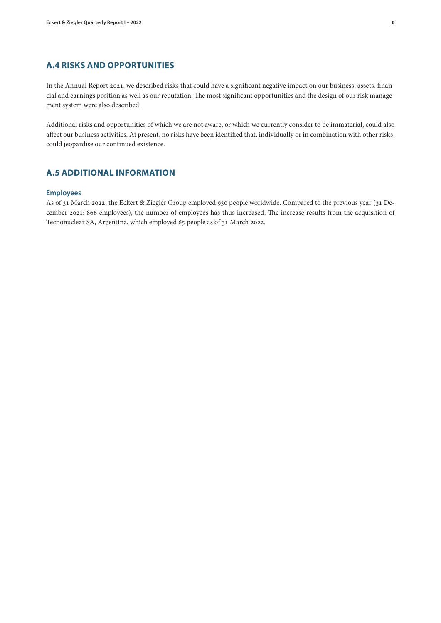# **A.4 RISKS AND OPPORTUNITIES**

In the Annual Report 2021, we described risks that could have a significant negative impact on our business, assets, financial and earnings position as well as our reputation. The most significant opportunities and the design of our risk management system were also described.

Additional risks and opportunities of which we are not aware, or which we currently consider to be immaterial, could also affect our business activities. At present, no risks have been identified that, individually or in combination with other risks, could jeopardise our continued existence.

# **A.5 ADDITIONAL INFORMATION**

### **Employees**

As of 31 March 2022, the Eckert & Ziegler Group employed 930 people worldwide. Compared to the previous year (31 December 2021: 866 employees), the number of employees has thus increased. The increase results from the acquisition of Tecnonuclear SA, Argentina, which employed 65 people as of 31 March 2022.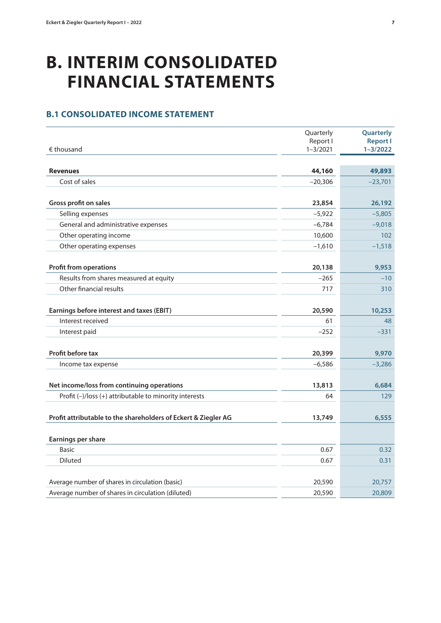# **B. INTERIM CONSOLIDATED FINANCIAL STATEMENTS**

# **B.1 CONSOLIDATED INCOME STATEMENT**

|                                                                | Quarterly                | Quarterly                       |
|----------------------------------------------------------------|--------------------------|---------------------------------|
| $\epsilon$ thousand                                            | Report I<br>$1 - 3/2021$ | <b>Report I</b><br>$1 - 3/2022$ |
|                                                                |                          |                                 |
| <b>Revenues</b>                                                | 44,160                   | 49,893                          |
| Cost of sales                                                  | $-20,306$                | $-23,701$                       |
|                                                                |                          |                                 |
| Gross profit on sales                                          | 23,854                   | 26,192                          |
| Selling expenses                                               | $-5,922$                 | $-5,805$                        |
| General and administrative expenses                            | $-6,784$                 | $-9,018$                        |
| Other operating income                                         | 10,600                   | 102                             |
| Other operating expenses                                       | $-1,610$                 | $-1,518$                        |
|                                                                |                          |                                 |
| <b>Profit from operations</b>                                  | 20,138                   | 9,953                           |
| Results from shares measured at equity                         | $-265$                   | $-10$                           |
| Other financial results                                        | 717                      | 310                             |
|                                                                |                          |                                 |
| Earnings before interest and taxes (EBIT)                      | 20,590                   | 10,253                          |
| Interest received                                              | 61                       | 48                              |
| Interest paid                                                  | $-252$                   | $-331$                          |
|                                                                |                          |                                 |
| Profit before tax                                              | 20,399                   | 9,970                           |
| Income tax expense                                             | $-6,586$                 | $-3,286$                        |
|                                                                |                          |                                 |
| Net income/loss from continuing operations                     | 13,813                   | 6,684                           |
| Profit (-)/loss (+) attributable to minority interests         | 64                       | 129                             |
|                                                                |                          |                                 |
| Profit attributable to the shareholders of Eckert & Ziegler AG | 13,749                   | 6,555                           |
|                                                                |                          |                                 |
| Earnings per share                                             |                          |                                 |
| <b>Basic</b>                                                   | 0.67                     | 0.32                            |
| <b>Diluted</b>                                                 | 0.67                     | 0.31                            |
|                                                                |                          |                                 |
| Average number of shares in circulation (basic)                | 20,590                   | 20,757                          |
| Average number of shares in circulation (diluted)              | 20,590                   | 20,809                          |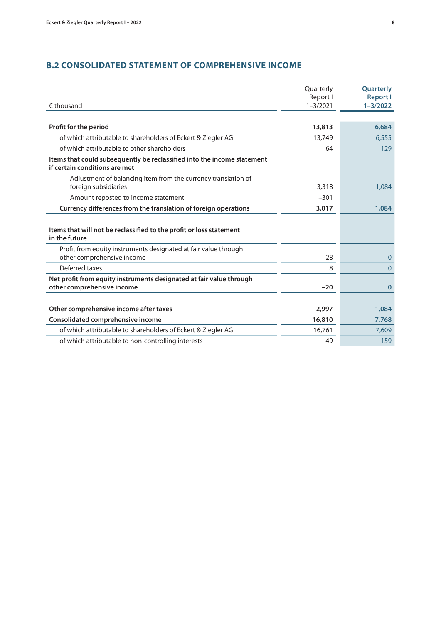# **B.2 CONSOLIDATED STATEMENT OF COMPREHENSIVE INCOME**

| $\epsilon$ thousand                                                                                      | Quarterly<br>Report I<br>$1 - 3/2021$ | Quarterly<br><b>Report I</b><br>$1 - 3/2022$ |
|----------------------------------------------------------------------------------------------------------|---------------------------------------|----------------------------------------------|
|                                                                                                          |                                       |                                              |
| Profit for the period                                                                                    | 13,813                                | 6,684                                        |
| of which attributable to shareholders of Eckert & Ziegler AG                                             | 13,749                                | 6,555                                        |
| of which attributable to other shareholders                                                              | 64                                    | 129                                          |
| Items that could subsequently be reclassified into the income statement<br>if certain conditions are met |                                       |                                              |
| Adjustment of balancing item from the currency translation of<br>foreign subsidiaries                    | 3,318                                 | 1,084                                        |
| Amount reposted to income statement                                                                      | $-301$                                |                                              |
| Currency differences from the translation of foreign operations                                          | 3,017                                 | 1,084                                        |
| Items that will not be reclassified to the profit or loss statement<br>in the future                     |                                       |                                              |
| Profit from equity instruments designated at fair value through<br>other comprehensive income            | $-28$                                 | $\mathbf{0}$                                 |
| Deferred taxes                                                                                           | 8                                     | $\Omega$                                     |
| Net profit from equity instruments designated at fair value through<br>other comprehensive income        | $-20$                                 | $\bf{0}$                                     |
| Other comprehensive income after taxes                                                                   | 2,997                                 | 1,084                                        |
| Consolidated comprehensive income                                                                        | 16,810                                | 7,768                                        |
| of which attributable to shareholders of Eckert & Ziegler AG                                             | 16,761                                | 7,609                                        |
| of which attributable to non-controlling interests                                                       | 49                                    | 159                                          |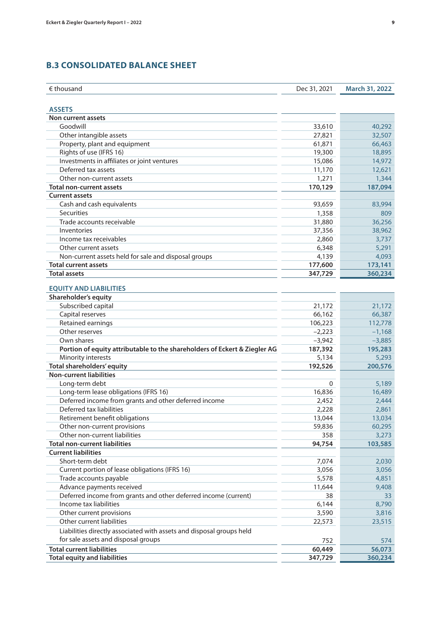# **B.3 CONSOLIDATED BALANCE SHEET**

| $\epsilon$ thousand                                                       | Dec 31, 2021 | <b>March 31, 2022</b> |
|---------------------------------------------------------------------------|--------------|-----------------------|
|                                                                           |              |                       |
| <b>ASSETS</b>                                                             |              |                       |
| Non current assets                                                        |              |                       |
| Goodwill                                                                  | 33,610       | 40,292                |
| Other intangible assets                                                   | 27,821       | 32,507                |
| Property, plant and equipment                                             | 61,871       | 66,463                |
| Rights of use (IFRS 16)                                                   | 19,300       | 18,895                |
| Investments in affiliates or joint ventures                               | 15,086       | 14,972                |
| Deferred tax assets                                                       | 11,170       | 12,621                |
| Other non-current assets                                                  | 1,271        | 1,344                 |
| <b>Total non-current assets</b>                                           | 170,129      | 187,094               |
| <b>Current assets</b>                                                     |              |                       |
| Cash and cash equivalents                                                 | 93,659       | 83,994                |
| <b>Securities</b>                                                         | 1,358        | 809                   |
| Trade accounts receivable                                                 | 31,880       | 36,256                |
| Inventories                                                               | 37,356       | 38,962                |
| Income tax receivables                                                    | 2,860        | 3,737                 |
| Other current assets                                                      | 6,348        | 5,291                 |
| Non-current assets held for sale and disposal groups                      | 4,139        | 4,093                 |
| <b>Total current assets</b>                                               | 177,600      | 173,141               |
| <b>Total assets</b>                                                       | 347,729      | 360,234               |
|                                                                           |              |                       |
| <b>EQUITY AND LIABILITIES</b>                                             |              |                       |
| Shareholder's equity                                                      |              |                       |
| Subscribed capital                                                        | 21,172       | 21,172                |
| Capital reserves                                                          | 66,162       | 66,387                |
| Retained earnings                                                         | 106,223      | 112,778               |
| Other reserves                                                            | $-2,223$     | $-1,168$              |
| Own shares                                                                | $-3,942$     | $-3,885$              |
| Portion of equity attributable to the shareholders of Eckert & Ziegler AG | 187,392      | 195,283               |
| Minority interests                                                        | 5,134        | 5,293                 |
| Total shareholders' equity                                                | 192,526      | 200,576               |
| <b>Non-current liabilities</b>                                            |              |                       |
| Long-term debt                                                            | 0            | 5,189                 |
| Long-term lease obligations (IFRS 16)                                     | 16,836       | 16,489                |
| Deferred income from grants and other deferred income                     | 2,452        | 2,444                 |
| Deferred tax liabilities                                                  | 2,228        | 2,861                 |
| Retirement benefit obligations                                            | 13,044       | 13,034                |
| Other non-current provisions                                              | 59,836       | 60,295                |
| Other non-current liabilities                                             | 358          | 3,273                 |
| <b>Total non-current liabilities</b>                                      | 94,754       | 103,585               |
| <b>Current liabilities</b>                                                |              |                       |
| Short-term debt                                                           | 7,074        | 2,030                 |
| Current portion of lease obligations (IFRS 16)                            | 3,056        | 3,056                 |
| Trade accounts payable                                                    | 5,578        |                       |
|                                                                           |              | 4,851                 |
| Advance payments received                                                 | 11,644       | 9,408                 |
| Deferred income from grants and other deferred income (current)           | 38           | 33                    |
| Income tax liabilities                                                    | 6,144        | 8,790                 |
| Other current provisions                                                  | 3,590        | 3,816                 |
| Other current liabilities                                                 | 22,573       | 23,515                |
| Liabilities directly associated with assets and disposal groups held      |              |                       |
| for sale assets and disposal groups                                       | 752          | 574                   |
| <b>Total current liabilities</b>                                          | 60,449       | 56,073                |
| <b>Total equity and liabilities</b>                                       | 347,729      | 360,234               |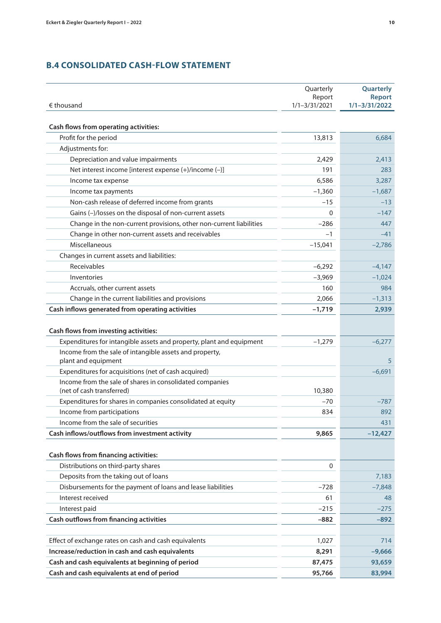# **B.4 CONSOLIDATED CASH-FLOW STATEMENT**

|                                                                                       | Quarterly                   | Quarterly                          |
|---------------------------------------------------------------------------------------|-----------------------------|------------------------------------|
| $\epsilon$ thousand                                                                   | Report<br>$1/1 - 3/31/2021$ | <b>Report</b><br>$1/1 - 3/31/2022$ |
|                                                                                       |                             |                                    |
| <b>Cash flows from operating activities:</b>                                          |                             |                                    |
| Profit for the period                                                                 | 13,813                      | 6,684                              |
| Adjustments for:                                                                      |                             |                                    |
| Depreciation and value impairments                                                    | 2,429                       | 2,413                              |
| Net interest income [interest expense (+)/income (-)]                                 | 191                         | 283                                |
| Income tax expense                                                                    | 6,586                       | 3,287                              |
| Income tax payments                                                                   | $-1,360$                    | $-1,687$                           |
| Non-cash release of deferred income from grants                                       | $-15$                       | $-13$                              |
| Gains (-)/losses on the disposal of non-current assets                                | 0                           | $-147$                             |
| Change in the non-current provisions, other non-current liabilities                   | $-286$                      | 447                                |
| Change in other non-current assets and receivables                                    | $-1$                        | $-41$                              |
| Miscellaneous                                                                         | $-15,041$                   | $-2,786$                           |
| Changes in current assets and liabilities:                                            |                             |                                    |
| Receivables                                                                           | $-6,292$                    | $-4,147$                           |
| Inventories                                                                           | $-3,969$                    | $-1,024$                           |
| Accruals, other current assets                                                        | 160                         | 984                                |
| Change in the current liabilities and provisions                                      | 2,066                       | $-1,313$                           |
| Cash inflows generated from operating activities                                      | $-1,719$                    | 2,939                              |
| <b>Cash flows from investing activities:</b>                                          |                             |                                    |
| Expenditures for intangible assets and property, plant and equipment                  | $-1,279$                    | $-6,277$                           |
| Income from the sale of intangible assets and property,                               |                             |                                    |
| plant and equipment                                                                   |                             | 5                                  |
| Expenditures for acquisitions (net of cash acquired)                                  |                             | $-6,691$                           |
| Income from the sale of shares in consolidated companies<br>(net of cash transferred) | 10,380                      |                                    |
| Expenditures for shares in companies consolidated at equity                           | $-70$                       | $-787$                             |
| Income from participations                                                            | 834                         | 892                                |
| Income from the sale of securities                                                    |                             | 431                                |
| Cash inflows/outflows from investment activity                                        | 9,865                       | $-12,427$                          |
| <b>Cash flows from financing activities:</b>                                          |                             |                                    |
| Distributions on third-party shares                                                   | $\mathbf 0$                 |                                    |
| Deposits from the taking out of loans                                                 |                             | 7,183                              |
| Disbursements for the payment of loans and lease liabilities                          | $-728$                      | $-7,848$                           |
| Interest received                                                                     | 61                          | 48                                 |
| Interest paid                                                                         | $-215$                      | $-275$                             |
| <b>Cash outflows from financing activities</b>                                        | $-882$                      | $-892$                             |
|                                                                                       |                             |                                    |
| Effect of exchange rates on cash and cash equivalents                                 | 1,027                       | 714                                |
| Increase/reduction in cash and cash equivalents                                       | 8,291                       | $-9,666$                           |
| Cash and cash equivalents at beginning of period                                      | 87,475                      | 93,659                             |
| Cash and cash equivalents at end of period                                            | 95,766                      | 83,994                             |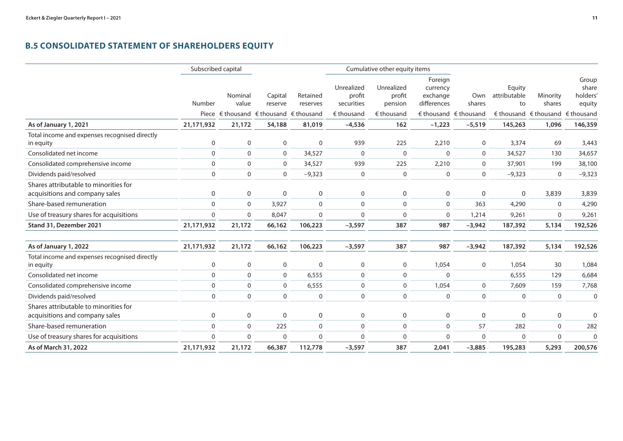# **B.5 CONSOLIDATED STATEMENT OF SHAREHOLDERS EQUITY**

|                                                                         |             | Subscribed capital |                                                                   |                      |                                    | Cumulative other equity items   |                                                |                                         |                              |                                  |                                      |
|-------------------------------------------------------------------------|-------------|--------------------|-------------------------------------------------------------------|----------------------|------------------------------------|---------------------------------|------------------------------------------------|-----------------------------------------|------------------------------|----------------------------------|--------------------------------------|
|                                                                         | Number      | Nominal<br>value   | Capital<br>reserve                                                | Retained<br>reserves | Unrealized<br>profit<br>securities | Unrealized<br>profit<br>pension | Foreign<br>currency<br>exchange<br>differences | Own<br>shares                           | Equity<br>attributable<br>to | Minority<br>shares               | Group<br>share<br>holders'<br>equity |
|                                                                         |             |                    | Piece $\epsilon$ thousand $\epsilon$ thousand $\epsilon$ thousand |                      | $\epsilon$ thousand                | $\epsilon$ thousand             |                                                | $\epsilon$ thousand $\epsilon$ thousand |                              | € thousand € thousand € thousand |                                      |
| As of January 1, 2021                                                   | 21,171,932  | 21,172             | 54,188                                                            | 81,019               | $-4,536$                           | 162                             | $-1,223$                                       | $-5,519$                                | 145,263                      | 1,096                            | 146,359                              |
| Total income and expenses recognised directly<br>in equity              | $\mathbf 0$ | $\mathbf 0$        | $\mathbf 0$                                                       | $\mathbf 0$          | 939                                | 225                             | 2,210                                          | $\mathbf 0$                             | 3,374                        | 69                               | 3,443                                |
| Consolidated net income                                                 | $\mathbf 0$ | $\mathbf{0}$       | $\mathbf 0$                                                       | 34,527               | $\Omega$                           | $\mathbf 0$                     | $\Omega$                                       | $\mathbf 0$                             | 34,527                       | 130                              | 34,657                               |
| Consolidated comprehensive income                                       | $\mathbf 0$ | $\mathbf 0$        | $\mathbf 0$                                                       | 34,527               | 939                                | 225                             | 2,210                                          | $\mathbf{0}$                            | 37,901                       | 199                              | 38,100                               |
| Dividends paid/resolved                                                 | $\Omega$    | $\mathbf 0$        | $\Omega$                                                          | $-9,323$             | $\mathbf 0$                        | $\mathbf 0$                     | $\mathbf 0$                                    | $\Omega$                                | $-9,323$                     | $\Omega$                         | $-9,323$                             |
| Shares attributable to minorities for<br>acquisitions and company sales | 0           | 0                  | $\mathbf 0$                                                       | 0                    | 0                                  | 0                               | 0                                              | $\mathbf 0$                             | $\mathbf 0$                  | 3,839                            | 3,839                                |
| Share-based remuneration                                                | $\mathbf 0$ | $\mathbf 0$        | 3,927                                                             | $\mathbf 0$          | $\mathbf 0$                        | $\mathbf 0$                     | $\mathbf 0$                                    | 363                                     | 4,290                        | $\mathbf 0$                      | 4,290                                |
| Use of treasury shares for acquisitions                                 | $\mathbf 0$ | $\Omega$           | 8,047                                                             | $\mathbf 0$          | $\Omega$                           | $\mathbf 0$                     | $\mathbf 0$                                    | 1,214                                   | 9,261                        | $\mathbf 0$                      | 9,261                                |
| Stand 31, Dezember 2021                                                 | 21,171,932  | 21,172             | 66,162                                                            | 106,223              | $-3,597$                           | 387                             | 987                                            | $-3,942$                                | 187,392                      | 5,134                            | 192,526                              |
| As of January 1, 2022                                                   | 21,171,932  | 21,172             | 66,162                                                            | 106,223              | $-3,597$                           | 387                             | 987                                            | $-3,942$                                | 187,392                      | 5,134                            | 192,526                              |
| Total income and expenses recognised directly<br>in equity              | $\mathbf 0$ | $\mathbf 0$        | $\mathbf 0$                                                       | $\mathbf 0$          | $\mathbf 0$                        | 0                               | 1,054                                          | $\mathbf 0$                             | 1,054                        | 30                               | 1,084                                |
| Consolidated net income                                                 | $\mathbf 0$ | $\mathbf 0$        | $\mathbf 0$                                                       | 6,555                | $\mathbf 0$                        | $\mathbf 0$                     | $\mathbf 0$                                    |                                         | 6,555                        | 129                              | 6,684                                |
| Consolidated comprehensive income                                       | $\mathbf 0$ | $\Omega$           | $\mathbf{0}$                                                      | 6,555                | $\mathbf 0$                        | $\mathbf 0$                     | 1,054                                          | $\mathbf 0$                             | 7,609                        | 159                              | 7,768                                |
| Dividends paid/resolved                                                 | $\mathbf 0$ | $\mathbf 0$        | $\mathbf 0$                                                       | $\mathbf 0$          | $\mathbf 0$                        | $\mathbf 0$                     | $\mathbf 0$                                    | $\mathbf 0$                             | $\mathbf 0$                  | $\mathbf 0$                      | $\mathbf 0$                          |
| Shares attributable to minorities for<br>acquisitions and company sales | 0           | 0                  | $\mathbf{0}$                                                      | 0                    | 0                                  | 0                               | 0                                              | $\mathbf 0$                             | $\Omega$                     | 0                                | 0                                    |
| Share-based remuneration                                                | $\mathbf 0$ | $\mathbf 0$        | 225                                                               | $\mathbf 0$          | $\mathbf 0$                        | $\mathbf 0$                     | $\mathbf 0$                                    | 57                                      | 282                          | $\mathbf 0$                      | 282                                  |
| Use of treasury shares for acquisitions                                 | $\mathbf 0$ | $\Omega$           | $\mathbf 0$                                                       | $\mathbf 0$          | $\Omega$                           | $\mathbf{0}$                    | $\Omega$                                       | $\mathbf 0$                             | $\mathbf{0}$                 | $\mathbf{0}$                     | $\mathbf 0$                          |
| As of March 31, 2022                                                    | 21,171,932  | 21,172             | 66,387                                                            | 112,778              | $-3,597$                           | 387                             | 2,041                                          | $-3,885$                                | 195,283                      | 5,293                            | 200,576                              |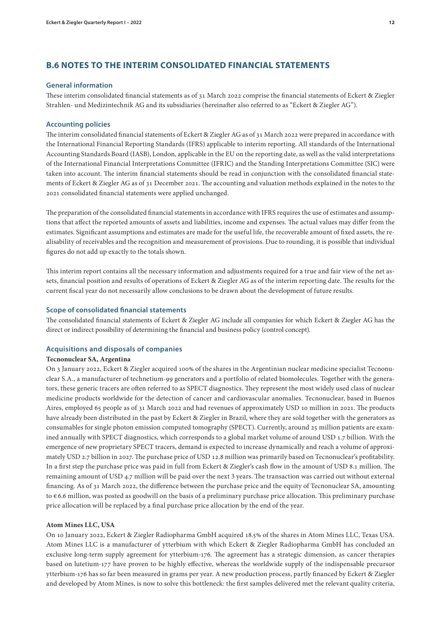# **B.6 NOTES TO THE INTERIM CONSOLIDATED FINANCIAL STATEMENTS**

#### **General information**

These interim consolidated financial statements as of 31 March 2022 comprise the financial statements of Eckert & Ziegler Strahlen- und Medizintechnik AG and its subsidiaries (hereinafter also referred to as "Eckert & Ziegler AG").

### **Accounting policies**

The interim consolidated financial statements of Eckert & Ziegler AG as of 31 March 2022 were prepared in accordance with the International Financial Reporting Standards (IFRS) applicable to interim reporting. All standards of the International Accounting Standards Board (IASB), London, applicable in the EU on the reporting date, as well as the valid interpretations of the International Financial Interpretations Committee (IFRIC) and the Standing Interpretations Committee (SIC) were taken into account. The interim financial statements should be read in conjunction with the consolidated financial statements of Eckert & Ziegler AG as of 31 December 2021. The accounting and valuation methods explained in the notes to the 2021 consolidated financial statements were applied unchanged.

The preparation of the consolidated financial statements in accordance with IFRS requires the use of estimates and assumptions that affect the reported amounts of assets and liabilities, income and expenses. The actual values may differ from the estimates. Significant assumptions and estimates are made for the useful life, the recoverable amount of fixed assets, the realisability of receivables and the recognition and measurement of provisions. Due to rounding, it is possible that individual figures do not add up exactly to the totals shown.

This interim report contains all the necessary information and adjustments required for a true and fair view of the net assets, financial position and results of operations of Eckert & Ziegler AG as of the interim reporting date. The results for the current fiscal year do not necessarily allow conclusions to be drawn about the development of future results.

#### **Scope of consolidated financial statements**

The consolidated financial statements of Eckert & Ziegler AG include all companies for which Eckert & Ziegler AG has the direct or indirect possibility of determining the financial and business policy (control concept).

#### **Acquisitions and disposals of companies**

#### **Tecnonuclear SA, Argentina**

On 3 January 2022, Eckert & Ziegler acquired 100% of the shares in the Argentinian nuclear medicine specialist Tecnonuclear S.A., a manufacturer of technetium-99 generators and a portfolio of related biomolecules. Together with the generators, these generic tracers are often referred to as SPECT diagnostics. They represent the most widely used class of nuclear medicine products worldwide for the detection of cancer and cardiovascular anomalies. Tecnonuclear, based in Buenos Aires, employed 65 people as of 31 March 2022 and had revenues of approximately USD 10 million in 2021. The products have already been distributed in the past by Eckert & Ziegler in Brazil, where they are sold together with the generators as consumables for single photon emission computed tomography (SPECT). Currently, around 25 million patients are examined annually with SPECT diagnostics, which corresponds to a global market volume of around USD 1.7 billion. With the emergence of new proprietary SPECT tracers, demand is expected to increase dynamically and reach a volume of approximately USD 2.7 billion in 2027. The purchase price of USD 12.8 million was primarily based on Tecnonuclear's profitability. In a first step the purchase price was paid in full from Eckert & Ziegler's cash flow in the amount of USD 8.1 million. The remaining amount of USD 4.7 million will be paid over the next 3 years. The transaction was carried out without external financing. As of 31 March 2022, the difference between the purchase price and the equity of Tecnonuclear SA, amounting to € 6.6 million, was posted as goodwill on the basis of a preliminary purchase price allocation. This preliminary purchase price allocation will be replaced by a final purchase price allocation by the end of the year.

#### **Atom Mines LLC, USA**

On 10 January 2022, Eckert & Ziegler Radiopharma GmbH acquired 18.5% of the shares in Atom Mines LLC, Texas USA. Atom Mines LLC is a manufacturer of ytterbium with which Eckert & Ziegler Radiopharma GmbH has concluded an exclusive long-term supply agreement for ytterbium-176. The agreement has a strategic dimension, as cancer therapies based on lutetium-177 have proven to be highly effective, whereas the worldwide supply of the indispensable precursor ytterbium-176 has so far been measured in grams per year. A new production process, partly financed by Eckert & Ziegler and developed by Atom Mines, is now to solve this bottleneck: the first samples delivered met the relevant quality criteria,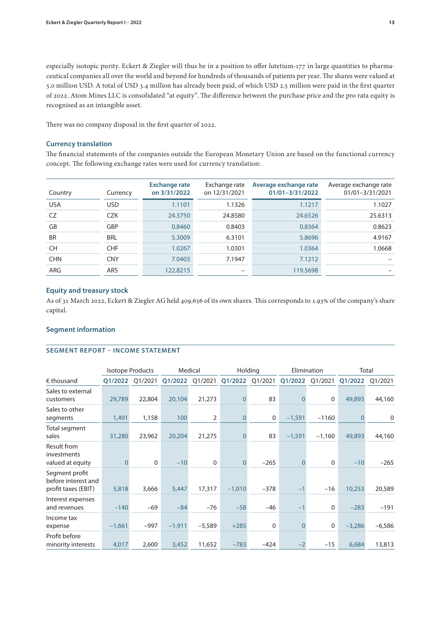especially isotopic purity. Eckert & Ziegler will thus be in a position to offer lutetium-177 in large quantities to pharmaceutical companies all over the world and beyond for hundreds of thousands of patients per year. The shares were valued at 5.0 million USD. A total of USD 3.4 million has already been paid, of which USD 2.5 million were paid in the first quarter of 2022. Atom Mines LLC is consolidated "at equity". The difference between the purchase price and the pro rata equity is recognised as an intangible asset.

There was no company disposal in the first quarter of 2022.

### **Currency translation**

The financial statements of the companies outside the European Monetary Union are based on the functional currency concept. The following exchange rates were used for currency translation:

| Country    | Currency   | <b>Exchange rate</b><br>on 3/31/2022 | Exchange rate<br>on 12/31/2021 | Average exchange rate<br>01/01-3/31/2022 | Average exchange rate<br>01/01-3/31/2021 |
|------------|------------|--------------------------------------|--------------------------------|------------------------------------------|------------------------------------------|
| <b>USA</b> | USD        | 1.1101                               | 1.1326                         | 1.1217                                   | 1.1027                                   |
| CZ.        | <b>CZK</b> | 24.3750                              | 24.8580                        | 24.6526                                  | 25.6313                                  |
| GB         | <b>GBP</b> | 0.8460                               | 0.8403                         | 0.8364                                   | 0.8623                                   |
| <b>BR</b>  | <b>BRL</b> | 5.3009                               | 6.3101                         | 5.8696                                   | 4.9167                                   |
| <b>CH</b>  | <b>CHF</b> | 1.0267                               | 1.0301                         | 1.0364                                   | 1.0668                                   |
| <b>CHN</b> | <b>CNY</b> | 7.0403                               | 7.1947                         | 7.1212                                   |                                          |
| ARG        | ARS        | 122.8215                             |                                | 119.5698                                 |                                          |

### **Equity and treasury stock**

As of 31 March 2022, Eckert & Ziegler AG held 409,656 of its own shares. This corresponds to 1.93% of the company's share capital.

### **Segment information**

### **SEGMENT REPORT – INCOME STATEMENT**

|                                                              |          | <b>Isotope Products</b> |          | Medical     |              | Holding     |          | Elimination |          | Total    |
|--------------------------------------------------------------|----------|-------------------------|----------|-------------|--------------|-------------|----------|-------------|----------|----------|
| $\epsilon$ thousand                                          | Q1/2022  | Q1/2021                 | Q1/2022  | Q1/2021     | Q1/2022      | Q1/2021     | Q1/2022  | Q1/2021     | Q1/2022  | Q1/2021  |
| Sales to external<br>customers                               | 29,789   | 22,804                  | 20,104   | 21,273      | 0            | 83          | O        | $\mathbf 0$ | 49,893   | 44,160   |
| Sales to other<br>segments                                   | 1,491    | 1,158                   | 100      | 2           | $\mathbf{0}$ | $\mathbf 0$ | $-1,591$ | $-1160$     | $\Omega$ | 0        |
| Total segment<br>sales                                       | 31,280   | 23,962                  | 20,204   | 21,275      | 0            | 83          | $-1,591$ | $-1,160$    | 49,893   | 44,160   |
| Result from<br>investments<br>valued at equity               |          | $\mathbf 0$             | $-10$    | $\mathbf 0$ | $\Omega$     | $-265$      |          | $\mathbf 0$ | $-10$    | $-265$   |
| Segment profit<br>before interest and<br>profit taxes (EBIT) | 5,818    | 3,666                   | 5,447    | 17,317      | $-1,010$     | $-378$      | -        | $-16$       | 10,253   | 20,589   |
| Interest expenses<br>and revenues                            | $-140$   | $-69$                   | $-84$    | $-76$       | $-58$        | $-46$       | $-1$     | $\mathbf 0$ | $-283$   | $-191$   |
| Income tax<br>expense                                        | $-1,661$ | $-997$                  | $-1,911$ | $-5,589$    | $+285$       | $\mathbf 0$ |          | 0           | $-3,286$ | $-6,586$ |
| Profit before<br>minority interests                          | 4,017    | 2,600                   | 3,452    | 11,652      | $-783$       | $-424$      |          | $-15$       | 6,684    | 13,813   |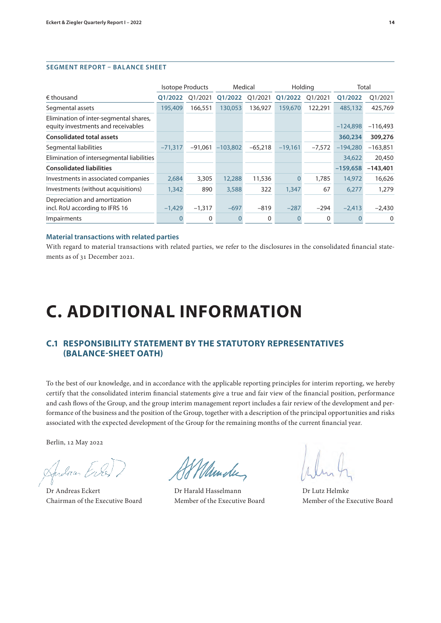### **SEGMENT REPORT – BALANCE SHEET**

|                                                                              |           | <b>Isotope Products</b> |            | Medical      |           | Holding  | Total      |              |
|------------------------------------------------------------------------------|-----------|-------------------------|------------|--------------|-----------|----------|------------|--------------|
| $\epsilon$ thousand                                                          | 01/2022   | Q1/2021                 | 01/2022    | Q1/2021      | Q1/2022   | Q1/2021  | 01/2022    | Q1/2021      |
| Segmental assets                                                             | 195,409   | 166,551                 | 130,053    | 136,927      | 159,670   | 122,291  | 485,132    | 425,769      |
| Elimination of inter-segmental shares,<br>equity investments and receivables |           |                         |            |              |           |          | $-124.898$ | $-116,493$   |
| <b>Consolidated total assets</b>                                             |           |                         |            |              |           |          | 360,234    | 309,276      |
| Segmental liabilities                                                        | $-71.317$ | $-91.061$               | $-103,802$ | $-65,218$    | $-19,161$ | $-7,572$ | $-194,280$ | $-163,851$   |
| Elimination of intersegmental liabilities                                    |           |                         |            |              |           |          | 34,622     | 20,450       |
| <b>Consolidated liabilities</b>                                              |           |                         |            |              |           |          | $-159,658$ | $-143,401$   |
| Investments in associated companies                                          | 2,684     | 3,305                   | 12,288     | 11,536       | 0         | 1,785    | 14,972     | 16,626       |
| Investments (without acquisitions)                                           | 1,342     | 890                     | 3,588      | 322          | 1,347     | 67       | 6,277      | 1,279        |
| Depreciation and amortization<br>incl. RoU according to IFRS 16              | $-1,429$  | $-1,317$                | $-697$     | $-819$       | $-287$    | $-294$   | $-2,413$   | $-2,430$     |
| Impairments                                                                  |           | 0                       |            | $\mathbf{0}$ |           | 0        |            | $\mathbf{0}$ |

#### **Material transactions with related parties**

With regard to material transactions with related parties, we refer to the disclosures in the consolidated financial statements as of 31 December 2021.

# **C. ADDITIONAL INFORMATION**

# **C.1 RESPONSIBILITY STATEMENT BY THE STATUTORY REPRESENTATIVES (BALANCE-SHEET OATH)**

To the best of our knowledge, and in accordance with the applicable reporting principles for interim reporting, we hereby certify that the consolidated interim financial statements give a true and fair view of the financial position, performance and cash flows of the Group, and the group interim management report includes a fair review of the development and performance of the business and the position of the Group, together with a description of the principal opportunities and risks associated with the expected development of the Group for the remaining months of the current financial year.

Berlin, 12 May 2022

Andra Ev

Dr Andreas Eckert Dr Harald Hasselmann Dr Lutz Helmke Chairman of the Executive Board Member of the Executive Board Member of the Executive Board

Ulmste